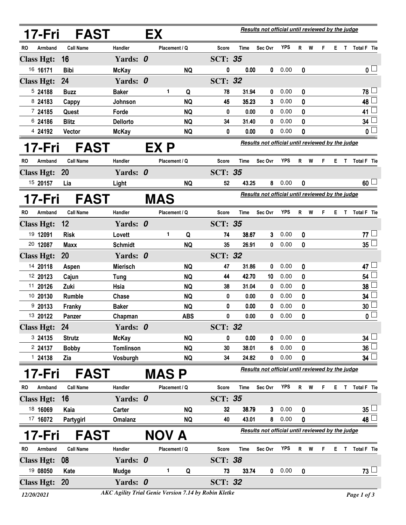| 17-Fri               | <b>FAST</b>      |                  | EX |               |                |             |                                                  | Results not official until reviewed by the judge |              |          |   |    |              |                 |  |  |
|----------------------|------------------|------------------|----|---------------|----------------|-------------|--------------------------------------------------|--------------------------------------------------|--------------|----------|---|----|--------------|-----------------|--|--|
| Armband<br>RO        | <b>Call Name</b> | Handler          |    | Placement / Q | <b>Score</b>   | <b>Time</b> | Sec Ovr                                          | <b>YPS</b>                                       | R            | W        | F | E. | $\mathbf{T}$ | Total F Tie     |  |  |
| <b>Class Hgt:</b>    | 16               | Yards: 0         |    |               | <b>SCT: 35</b> |             |                                                  |                                                  |              |          |   |    |              |                 |  |  |
| 16 16171             | <b>Bibi</b>      | <b>McKay</b>     |    | <b>NQ</b>     | 0              | 0.00        | $\mathbf{0}$                                     | 0.00                                             |              | 0        |   |    |              | 0 <sub>0</sub>  |  |  |
| <b>Class Hgt:</b>    | 24               | Yards: 0         |    |               | <b>SCT: 32</b> |             |                                                  |                                                  |              |          |   |    |              |                 |  |  |
| 5 24188              | <b>Buzz</b>      | <b>Baker</b>     |    | 1<br>Q        | 78             | 31.94       | 0                                                | 0.00                                             |              | 0        |   |    |              | $78\perp$       |  |  |
| 8 24183              | Cappy            | Johnson          |    | <b>NQ</b>     | 45             | 35.23       | 3                                                | 0.00                                             |              | $\bf{0}$ |   |    |              | 48              |  |  |
| 7 24185              | Quest            | Forde            |    | <b>NQ</b>     | 0              | 0.00        | 0                                                | 0.00                                             |              | 0        |   |    |              | 41              |  |  |
| 6 24186              | <b>Blitz</b>     | <b>Dellorto</b>  |    | <b>NQ</b>     | 34             | 31.40       | 0                                                | 0.00                                             | 0            |          |   |    |              | 34              |  |  |
| 4 24192              | <b>Vector</b>    | <b>McKay</b>     |    | <b>NQ</b>     | 0              | 0.00        | 0                                                | 0.00                                             |              | 0        |   |    |              | 0 <sup>1</sup>  |  |  |
| 17-Fri               | <b>FAST</b>      |                  |    | EX P          |                |             | Results not official until reviewed by the judge |                                                  |              |          |   |    |              |                 |  |  |
| Armband<br>RO        | <b>Call Name</b> | Handler          |    | Placement / Q | Score          | Time        | Sec Ovr                                          | <b>YPS</b>                                       | $\mathsf{R}$ | W        | F |    |              | E T Total F Tie |  |  |
| <b>Class Hgt:</b>    | <b>20</b>        | Yards: 0         |    |               | <b>SCT: 35</b> |             |                                                  |                                                  |              |          |   |    |              |                 |  |  |
| 15 20157             | Lia              | Light            |    | <b>NQ</b>     | 52             | 43.25       | 8                                                | 0.00                                             |              | 0        |   |    |              | $60\perp$       |  |  |
| 17-Fri               | <b>FAST</b>      |                  |    | <b>MAS</b>    |                |             | Results not official until reviewed by the judge |                                                  |              |          |   |    |              |                 |  |  |
| <b>RO</b><br>Armband | <b>Call Name</b> | Handler          |    | Placement / Q | Score          | <b>Time</b> | Sec Ovr                                          | <b>YPS</b>                                       | R            | W        | F | E. | T            | Total F Tie     |  |  |
| <b>Class Hgt:</b>    | 12               | Yards: 0         |    |               | <b>SCT: 35</b> |             |                                                  |                                                  |              |          |   |    |              |                 |  |  |
| 19 12091             | <b>Risk</b>      | Lovett           |    | 1.<br>Q       | 74             | 38.67       | 3                                                | 0.00                                             |              | 0        |   |    |              | 77 L            |  |  |
| 20 12087             | Maxx             | <b>Schmidt</b>   |    | <b>NQ</b>     | 35             | 26.91       | 0                                                | 0.00                                             |              | 0        |   |    |              | 35 <sup>1</sup> |  |  |
| <b>Class Hgt:</b>    | 20               | Yards: 0         |    |               | <b>SCT: 32</b> |             |                                                  |                                                  |              |          |   |    |              |                 |  |  |
| 14 20118             | Aspen            | Mierisch         |    | <b>NQ</b>     | 47             | 31.86       | 0                                                | 0.00                                             |              | 0        |   |    |              | 47 $\mathbf{1}$ |  |  |
| 12 20123             | Cajun            | <b>Tung</b>      |    | <b>NQ</b>     | 44             | 42.70       | 10                                               | 0.00                                             |              | $\bf{0}$ |   |    |              | 54              |  |  |
| 11 20126             | Zuki             | Hsia             |    | <b>NQ</b>     | 38             | 31.04       | 0                                                | 0.00                                             |              | 0        |   |    |              | 38              |  |  |
| 10 20130             | <b>Rumble</b>    | Chase            |    | <b>NQ</b>     | 0              | 0.00        | 0                                                | 0.00                                             |              | 0        |   |    |              | 34              |  |  |
| 9 20133              | Franky           | <b>Baker</b>     |    | <b>NQ</b>     | 0              | 0.00        | 0                                                | 0.00                                             |              | 0        |   |    |              | 30              |  |  |
| 13 20122             | Panzer           | Chapman          |    | <b>ABS</b>    | 0              | 0.00        | 0                                                | 0.00                                             |              | 0        |   |    |              | 0               |  |  |
| <b>Class Hgt:</b>    | 24               | Yards: 0         |    |               | <b>SCT: 32</b> |             |                                                  |                                                  |              |          |   |    |              |                 |  |  |
| 3 24135              | <b>Strutz</b>    | <b>McKay</b>     |    | <b>NQ</b>     | 0              | 0.00        | 0                                                | 0.00                                             |              | 0        |   |    |              | $34\perp$       |  |  |
| 2 24137              | <b>Bobby</b>     | <b>Tomlinson</b> |    | <b>NQ</b>     | 30             | 38.01       | 6                                                | 0.00                                             |              | 0        |   |    |              | 36              |  |  |
| 124138               | Zia              | Vosburgh         |    | <b>NQ</b>     | 34             | 24.82       | 0                                                | 0.00                                             |              | 0        |   |    |              | 34              |  |  |
| 17-Fri               | <b>FAST</b>      |                  |    | MAS P         |                |             | Results not official until reviewed by the judge |                                                  |              |          |   |    |              |                 |  |  |
| Armband<br>RO        | <b>Call Name</b> | Handler          |    | Placement / Q | <b>Score</b>   | Time        | Sec Ovr                                          | YPS                                              | R            | W        | F |    |              | E T Total F Tie |  |  |
| <b>Class Hgt:</b>    | 16               | Yards: 0         |    |               | <b>SCT: 35</b> |             |                                                  |                                                  |              |          |   |    |              |                 |  |  |
| 18 16069             | Kaia             | Carter           |    | <b>NQ</b>     | 32             | 38.79       | 3                                                | 0.00                                             |              | 0        |   |    |              | $35 -$          |  |  |
| 17 16072             | Partygirl        | <b>Omalanz</b>   |    | NQ            | 40             | 43.01       | 8                                                | 0.00                                             |              | 0        |   |    |              | 48 <sup>1</sup> |  |  |
| 17-Fri               | <b>FAST</b>      |                  |    | NOV A         |                |             | Results not official until reviewed by the judge |                                                  |              |          |   |    |              |                 |  |  |
| Armband<br><b>RO</b> | <b>Call Name</b> | Handler          |    | Placement / Q | <b>Score</b>   | Time        | Sec Ovr                                          | <b>YPS</b>                                       | R            | W        |   | E. | Т            | Total F Tie     |  |  |
| <b>Class Hgt:</b>    | 08               | Yards: 0         |    |               | <b>SCT: 38</b> |             |                                                  |                                                  |              |          |   |    |              |                 |  |  |
| 19 08050             | Kate             | <b>Mudge</b>     |    | 1.<br>Q       | 73             | 33.74       | $\mathbf 0$                                      | 0.00                                             |              | 0        |   |    |              | $73 \Box$       |  |  |
| <b>Class Hgt:</b>    | <b>20</b>        | Yards: 0         |    |               | <b>SCT: 32</b> |             |                                                  |                                                  |              |          |   |    |              |                 |  |  |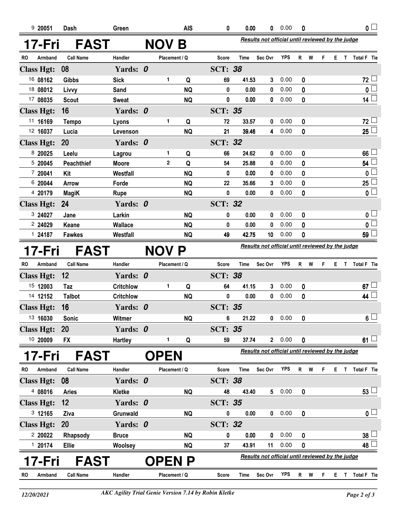| 920051                                   | Dash                                                                                         | Green            |             |               | <b>AIS</b>                                       | 0              | 0.00        | 0                                                | 0.00       | 0            |   |    |   |              |                    | 0 <sub>1</sub> |
|------------------------------------------|----------------------------------------------------------------------------------------------|------------------|-------------|---------------|--------------------------------------------------|----------------|-------------|--------------------------------------------------|------------|--------------|---|----|---|--------------|--------------------|----------------|
|                                          | Results not official until reviewed by the judge<br><b>FAST</b><br><b>NOV</b><br>17-Fri<br>B |                  |             |               |                                                  |                |             |                                                  |            |              |   |    |   |              |                    |                |
| RO<br>Armband                            | <b>Call Name</b>                                                                             | Handler          |             | Placement / Q |                                                  | Score          | Time        | Sec Ovr                                          | <b>YPS</b> | R            | W | F  | Е | $\mathsf{T}$ | <b>Total F</b> Tie |                |
| <b>Class Hgt:</b>                        | 08                                                                                           | Yards: 0         |             |               |                                                  | <b>SCT: 38</b> |             |                                                  |            |              |   |    |   |              |                    |                |
| 16 08162                                 | <b>Gibbs</b>                                                                                 | <b>Sick</b>      |             | 1             | Q                                                | 69             | 41.53       | 3                                                | 0.00       | 0            |   |    |   |              | 72 <sup>1</sup>    |                |
| 18 08012                                 | Livvy                                                                                        | Sand             |             |               | <b>NQ</b>                                        | 0              | 0.00        | 0                                                | 0.00       | 0            |   |    |   |              | 0 <sup>1</sup>     |                |
| 17 08035                                 | <b>Scout</b>                                                                                 | <b>Sweat</b>     |             |               | <b>NQ</b>                                        | 0              | 0.00        | 0                                                | 0.00       | 0            |   |    |   |              |                    | $14\perp$      |
| <b>Class Hgt:</b>                        | 16                                                                                           | Yards: 0         |             |               |                                                  | <b>SCT: 35</b> |             |                                                  |            |              |   |    |   |              |                    |                |
| 11 16169                                 | <b>Tempo</b>                                                                                 | Lyons            |             | 1             | Q                                                | 72             | 33.57       | 0                                                | 0.00       | 0            |   |    |   |              | $72\perp$          |                |
| 12 16037                                 | Lucia                                                                                        | Levenson         |             |               | <b>NQ</b>                                        | 21             | 39.46       | 4                                                | 0.00       | 0            |   |    |   |              | $25\perp$          |                |
| <b>Class Hgt:</b>                        | 20                                                                                           | Yards: 0         |             |               |                                                  | <b>SCT: 32</b> |             |                                                  |            |              |   |    |   |              |                    |                |
| 8 20025                                  | Leelu                                                                                        | Lagrou           |             | 1             | Q                                                | 66             | 24.62       | 0                                                | 0.00       | 0            |   |    |   |              | 66 <sup>1</sup>    |                |
| 5 20045                                  | <b>Peachthief</b>                                                                            | <b>Moore</b>     |             | $\mathbf{2}$  | Q                                                | 54             | 25.88       | 0                                                | 0.00       | 0            |   |    |   |              | 54                 |                |
| 7 20041                                  | Kit                                                                                          | Westfall         |             |               | <b>NQ</b>                                        | 0              | 0.00        | 0                                                | 0.00       | 0            |   |    |   |              | 0 <sup>1</sup>     |                |
| 6 20044                                  | Arrow                                                                                        | Forde            |             |               | <b>NQ</b>                                        | 22             | 35.66       | 3                                                | 0.00       | 0            |   |    |   |              | $25\,$             |                |
| 4 20179                                  | <b>MagiK</b>                                                                                 | <b>Rupe</b>      |             |               | <b>NQ</b>                                        | 0              | 0.00        | 0                                                | 0.00       | 0            |   |    |   |              |                    | 0 <sub>1</sub> |
| <b>Class Hgt:</b>                        | 24                                                                                           | Yards: 0         |             |               |                                                  | <b>SCT: 32</b> |             |                                                  |            |              |   |    |   |              |                    |                |
| 3 24027                                  | Jane                                                                                         | Larkin           |             |               | <b>NQ</b>                                        | 0              | 0.00        | 0                                                | 0.00       | 0            |   |    |   |              | 0 <sup>1</sup>     |                |
| 2 24029                                  | Keane                                                                                        | Wallace          |             |               | <b>NQ</b>                                        | 0              | 0.00        | 0                                                | 0.00       | 0            |   |    |   |              | 0 I                |                |
| 124187                                   | <b>Fawkes</b>                                                                                | Westfall         |             |               | <b>NQ</b>                                        | 49             | 42.75       | 10 <sup>°</sup>                                  | 0.00       | 0            |   |    |   |              | 59 <sup>1</sup>    |                |
| 17-Fri<br><b>FAST</b><br><b>NOV</b><br>P |                                                                                              |                  |             |               | Results not official until reviewed by the judge |                |             |                                                  |            |              |   |    |   |              |                    |                |
| <b>RO</b><br>Armband                     | <b>Call Name</b>                                                                             | Handler          |             | Placement / Q |                                                  | <b>Score</b>   | <b>Time</b> | Sec Ovr                                          | <b>YPS</b> | R            | W | F  | Е | $\mathsf{T}$ | Total F Tie        |                |
|                                          |                                                                                              |                  |             |               |                                                  |                |             |                                                  |            |              |   |    |   |              |                    |                |
| <b>Class Hgt:</b>                        | 12                                                                                           | Yards: 0         |             |               |                                                  | <b>SCT: 38</b> |             |                                                  |            |              |   |    |   |              |                    |                |
| 15 12003                                 | Taz                                                                                          | <b>Critchlow</b> |             | 1             | Q                                                | 64             | 41.15       | 3                                                | 0.00       | 0            |   |    |   |              | $67\perp$          |                |
| 14 12152                                 | <b>Talbot</b>                                                                                | <b>Critchlow</b> |             |               | <b>NQ</b>                                        | 0              | 0.00        | 0                                                | 0.00       | 0            |   |    |   |              | 44 <sup>1</sup>    |                |
| <b>Class Hgt:</b>                        | 16                                                                                           | Yards: 0         |             |               |                                                  | <b>SCT: 35</b> |             |                                                  |            |              |   |    |   |              |                    |                |
| 13 16030                                 | Sonic                                                                                        | Witmer           |             |               | <b>NQ</b>                                        | 6              | 21.22       | 0                                                | 0.00       | $\mathbf{0}$ |   |    |   |              | 6 <sup>1</sup>     |                |
| <b>Class Hgt:</b>                        | <b>20</b>                                                                                    | Yards: 0         |             |               |                                                  | <b>SCT: 35</b> |             |                                                  |            |              |   |    |   |              |                    |                |
| 10 20009                                 | <b>FX</b>                                                                                    | <b>Hartley</b>   |             | 1             | Q                                                | 59             | 37.74       |                                                  | 20.00      | 0            |   |    |   |              | $61 -$             |                |
| 17-Fri                                   | <b>FAST</b>                                                                                  |                  | <b>OPEN</b> |               |                                                  |                |             | Results not official until reviewed by the judge |            |              |   |    |   |              |                    |                |
| Armband<br>RO                            | <b>Call Name</b>                                                                             | Handler          |             | Placement / Q |                                                  | Score          | Time        | Sec Ovr                                          | YPS        | R W          |   | F. |   |              | E T Total F Tie    |                |
| <b>Class Hgt:</b>                        | 08                                                                                           | Yards: 0         |             |               |                                                  | <b>SCT: 38</b> |             |                                                  |            |              |   |    |   |              |                    |                |
| 4 08016                                  | <b>Aries</b>                                                                                 | Kletke           |             |               | <b>NQ</b>                                        | 48             | 43.40       |                                                  | 50.00      | 0            |   |    |   |              |                    | $53 \Box$      |
| <b>Class Hgt:</b>                        | $12 \overline{ }$                                                                            | Yards: 0         |             |               |                                                  | <b>SCT: 35</b> |             |                                                  |            |              |   |    |   |              |                    |                |
| 3 12165                                  | Ziva                                                                                         | Grunwald         |             |               | <b>NQ</b>                                        | 0              | 0.00        | 0                                                | 0.00       | 0            |   |    |   |              |                    | 0 <sub>1</sub> |
| <b>Class Hgt:</b>                        | 20                                                                                           | Yards: 0         |             |               |                                                  | <b>SCT: 32</b> |             |                                                  |            |              |   |    |   |              |                    |                |
| 220022                                   | Rhapsody                                                                                     | <b>Bruce</b>     |             |               | <b>NQ</b>                                        | 0              | 0.00        | 0                                                | 0.00       | 0            |   |    |   |              | $38\perp$          |                |
| 1 20174                                  | Ellie                                                                                        | Woolsey          |             |               | <b>NQ</b>                                        | 37             | 43.91       | 11                                               | 0.00       | $\mathbf{0}$ |   |    |   |              | 48 L               |                |
| 7-Fri                                    | <b>FAST</b>                                                                                  |                  |             |               | <b>OPEN P</b>                                    |                |             | Results not official until reviewed by the judge |            |              |   |    |   |              |                    |                |
| RO<br>Armband                            | <b>Call Name</b>                                                                             | Handler          |             | Placement / Q |                                                  | Score          | Time        | Sec Ovr                                          | <b>YPS</b> | R W          |   | F. |   |              | E T Total F Tie    |                |